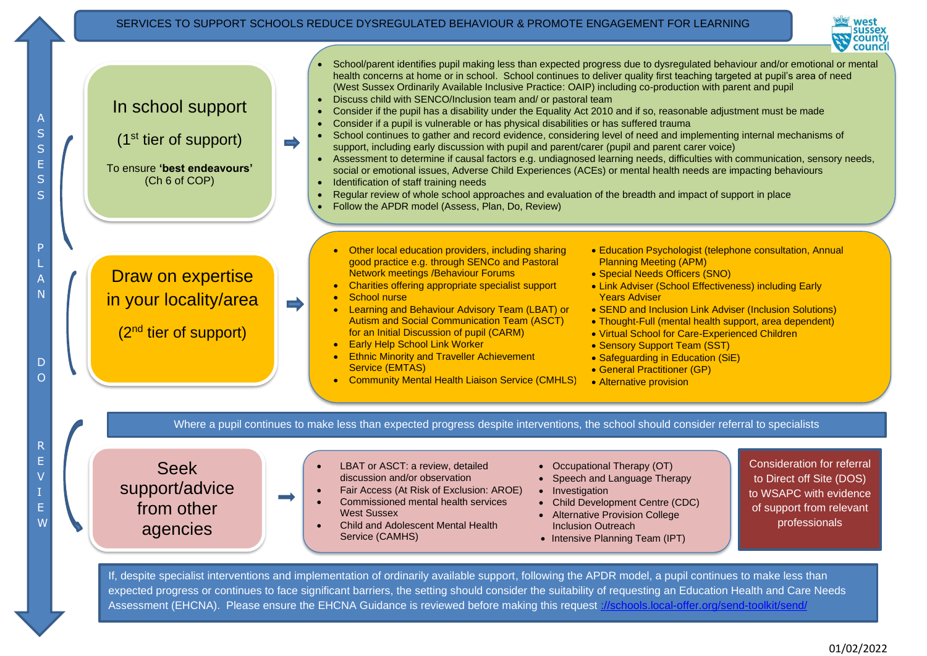#### SERVICES TO SUPPORT SCHOOLS REDUCE DYSREGULATED BEHAVIOUR & PROMOTE ENGAGEMENT FOR LEARNING





If, despite specialist interventions and implementation of ordinarily available support, following the APDR model, a pupil continues to make less than expected progress or continues to face significant barriers, the setting should consider the suitability of requesting an Education Health and Care Needs Assessment (EHCNA). Please ensure the EHCNA Guidance is reviewed before making this request [://schools.local-offer.org/send-toolkit/send/](https://schools.local-offer.org/send-toolkit/send/)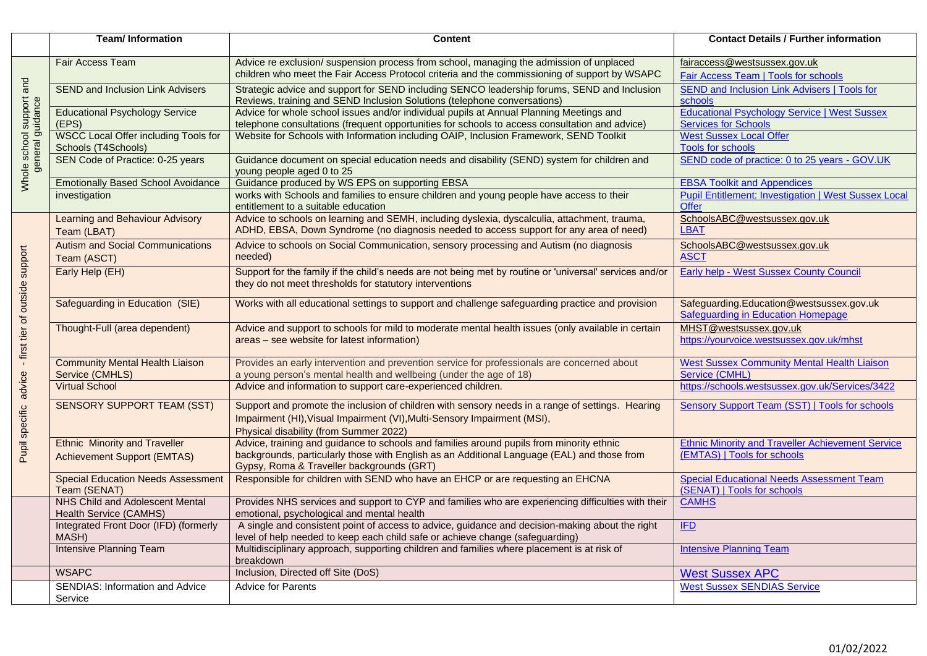|                                                       | <b>Team/Information</b>                                                    | <b>Content</b>                                                                                                                                                                                                                       | <b>Contact Details / Further information</b>                                            |
|-------------------------------------------------------|----------------------------------------------------------------------------|--------------------------------------------------------------------------------------------------------------------------------------------------------------------------------------------------------------------------------------|-----------------------------------------------------------------------------------------|
| Whole school support and<br>general guidance          | <b>Fair Access Team</b>                                                    | Advice re exclusion/ suspension process from school, managing the admission of unplaced<br>children who meet the Fair Access Protocol criteria and the commissioning of support by WSAPC                                             | fairaccess@westsussex.gov.uk<br>Fair Access Team   Tools for schools                    |
|                                                       | <b>SEND and Inclusion Link Advisers</b>                                    | Strategic advice and support for SEND including SENCO leadership forums, SEND and Inclusion<br>Reviews, training and SEND Inclusion Solutions (telephone conversations)                                                              | <b>SEND and Inclusion Link Advisers   Tools for</b><br>schools                          |
|                                                       | <b>Educational Psychology Service</b><br>(EPS)                             | Advice for whole school issues and/or individual pupils at Annual Planning Meetings and<br>telephone consultations (frequent opportunities for schools to access consultation and advice)                                            | <b>Educational Psychology Service   West Sussex</b><br><b>Services for Schools</b>      |
|                                                       | WSCC Local Offer including Tools for<br>Schools (T4Schools)                | Website for Schools with Information including OAIP, Inclusion Framework, SEND Toolkit                                                                                                                                               | <b>West Sussex Local Offer</b><br><b>Tools for schools</b>                              |
|                                                       | SEN Code of Practice: 0-25 years                                           | Guidance document on special education needs and disability (SEND) system for children and<br>young people aged 0 to 25                                                                                                              | SEND code of practice: 0 to 25 years - GOV.UK                                           |
|                                                       | <b>Emotionally Based School Avoidance</b>                                  | Guidance produced by WS EPS on supporting EBSA                                                                                                                                                                                       | <b>EBSA Toolkit and Appendices</b>                                                      |
|                                                       | investigation                                                              | works with Schools and families to ensure children and young people have access to their<br>entitlement to a suitable education                                                                                                      | <b>Pupil Entitlement: Investigation   West Sussex Local</b><br><b>Offer</b>             |
| Pupil specific advice - first tier of outside support | <b>Learning and Behaviour Advisory</b><br>Team (LBAT)                      | Advice to schools on learning and SEMH, including dyslexia, dyscalculia, attachment, trauma,<br>ADHD, EBSA, Down Syndrome (no diagnosis needed to access support for any area of need)                                               | SchoolsABC@westsussex.gov.uk<br><b>LBAT</b>                                             |
|                                                       | <b>Autism and Social Communications</b><br>Team (ASCT)                     | Advice to schools on Social Communication, sensory processing and Autism (no diagnosis<br>needed)                                                                                                                                    | SchoolsABC@westsussex.gov.uk<br><b>ASCT</b>                                             |
|                                                       | Early Help (EH)                                                            | Support for the family if the child's needs are not being met by routine or 'universal' services and/or<br>they do not meet thresholds for statutory interventions                                                                   | Early help - West Sussex County Council                                                 |
|                                                       | Safeguarding in Education (SIE)                                            | Works with all educational settings to support and challenge safeguarding practice and provision                                                                                                                                     | Safeguarding.Education@westsussex.gov.uk<br>Safeguarding in Education Homepage          |
|                                                       | Thought-Full (area dependent)                                              | Advice and support to schools for mild to moderate mental health issues (only available in certain<br>areas - see website for latest information)                                                                                    | MHST@westsussex.gov.uk<br>https://yourvoice.westsussex.gov.uk/mhst                      |
|                                                       | <b>Community Mental Health Liaison</b><br>Service (CMHLS)                  | Provides an early intervention and prevention service for professionals are concerned about<br>a young person's mental health and wellbeing (under the age of 18)                                                                    | <b>West Sussex Community Mental Health Liaison</b><br>Service (CMHL)                    |
|                                                       | <b>Virtual School</b>                                                      | Advice and information to support care-experienced children.                                                                                                                                                                         | https://schools.westsussex.gov.uk/Services/3422                                         |
|                                                       | <b>SENSORY SUPPORT TEAM (SST)</b>                                          | Support and promote the inclusion of children with sensory needs in a range of settings. Hearing<br>Impairment (HI), Visual Impairment (VI), Multi-Sensory Impairment (MSI),<br>Physical disability (from Summer 2022)               | <b>Sensory Support Team (SST)   Tools for schools</b>                                   |
|                                                       | <b>Ethnic Minority and Traveller</b><br><b>Achievement Support (EMTAS)</b> | Advice, training and guidance to schools and families around pupils from minority ethnic<br>backgrounds, particularly those with English as an Additional Language (EAL) and those from<br>Gypsy, Roma & Traveller backgrounds (GRT) | <b>Ethnic Minority and Traveller Achievement Service</b><br>(EMTAS)   Tools for schools |
|                                                       | <b>Special Education Needs Assessment</b><br>Team (SENAT)                  | Responsible for children with SEND who have an EHCP or are requesting an EHCNA                                                                                                                                                       | <b>Special Educational Needs Assessment Team</b><br>(SENAT)   Tools for schools         |
|                                                       | <b>NHS Child and Adolescent Mental</b><br>Health Service (CAMHS)           | Provides NHS services and support to CYP and families who are experiencing difficulties with their<br>emotional, psychological and mental health                                                                                     | <b>CAMHS</b>                                                                            |
|                                                       | Integrated Front Door (IFD) (formerly<br>MASH)                             | A single and consistent point of access to advice, guidance and decision-making about the right<br>level of help needed to keep each child safe or achieve change (safeguarding)                                                     | <b>IFD</b>                                                                              |
|                                                       | <b>Intensive Planning Team</b>                                             | Multidisciplinary approach, supporting children and families where placement is at risk of<br>breakdown                                                                                                                              | <b>Intensive Planning Team</b>                                                          |
|                                                       | <b>WSAPC</b>                                                               | Inclusion, Directed off Site (DoS)                                                                                                                                                                                                   | <b>West Sussex APC</b>                                                                  |
|                                                       | <b>SENDIAS: Information and Advice</b><br>Service                          | <b>Advice for Parents</b>                                                                                                                                                                                                            | <b>West Sussex SENDIAS Service</b>                                                      |